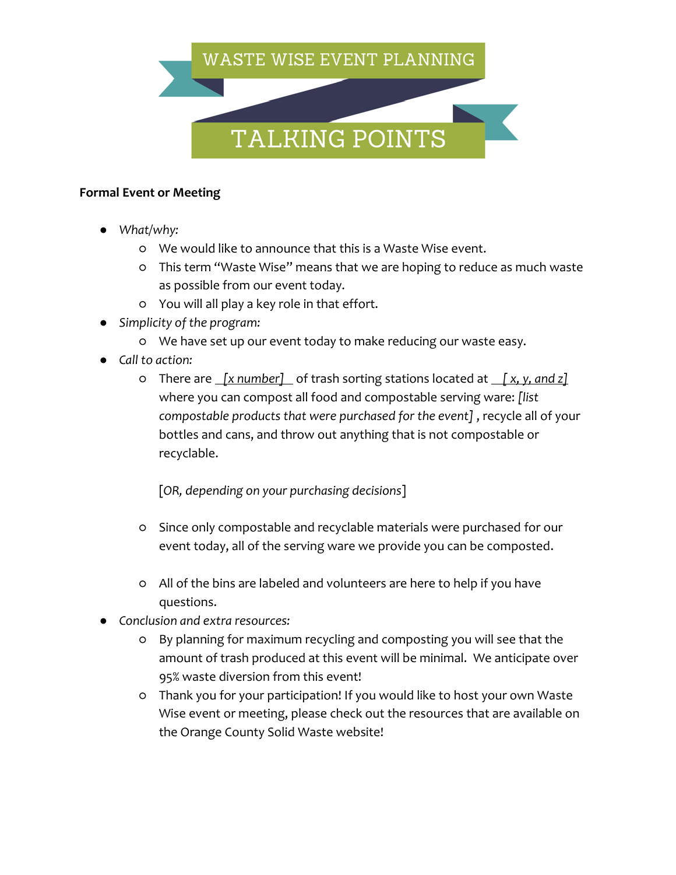## WASTE WISE EVENT PLANNING

## TALKING POINTS

## **Formal Event or Meeting**

- *What/why:*
	- We would like to announce that this is a Waste Wise event.
	- This term "Waste Wise" means that we are hoping to reduce as much waste as possible from our event today.
	- You will all play a key role in that effort.
- *Simplicity of the program:*
	- We have set up our event today to make reducing our waste easy.
- *Call to action:*
	- There are *[x number]* of trash sorting stations located at *[ x, y, and z]*  where you can compost all food and compostable serving ware: *[list compostable products that were purchased for the event]* , recycle all of your bottles and cans, and throw out anything that is not compostable or recyclable.

[*OR, depending on your purchasing decisions*]

- Since only compostable and recyclable materials were purchased for our event today, all of the serving ware we provide you can be composted.
- All of the bins are labeled and volunteers are here to help if you have questions.
- *Conclusion and extra resources:* 
	- By planning for maximum recycling and composting you will see that the amount of trash produced at this event will be minimal. We anticipate over 95% waste diversion from this event!
	- Thank you for your participation! If you would like to host your own Waste Wise event or meeting, please check out the resources that are available on the Orange County Solid Waste website!